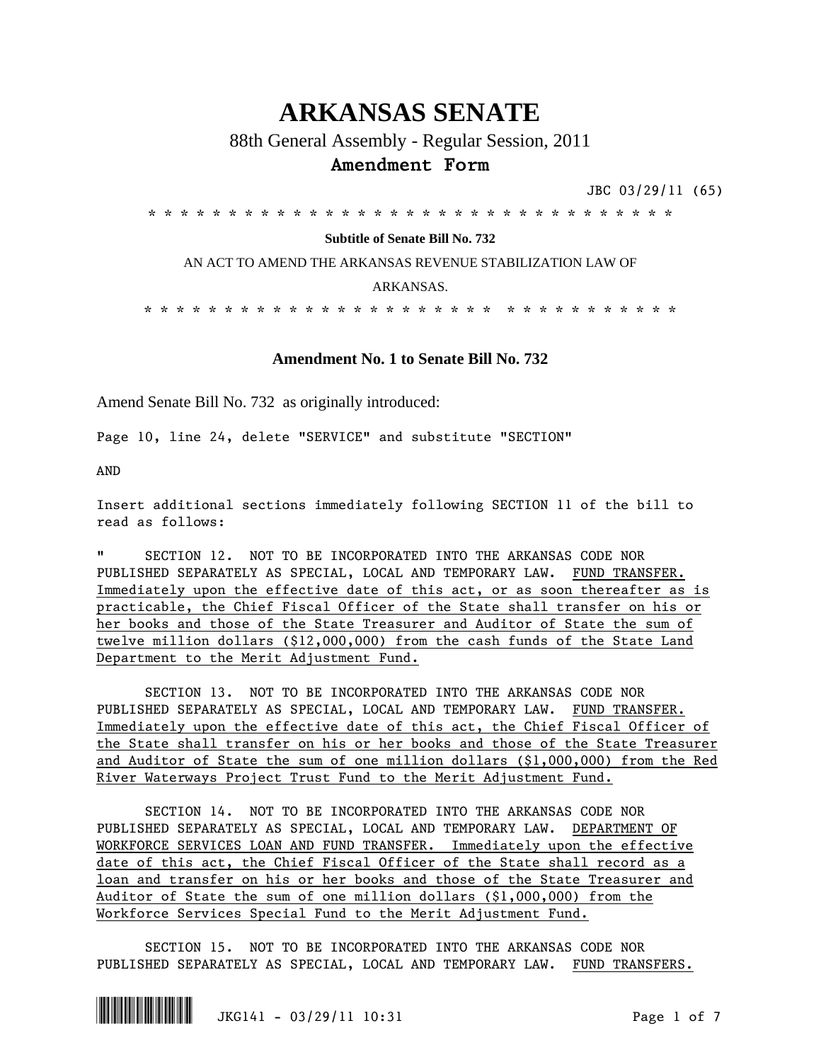# **ARKANSAS SENATE**

# 88th General Assembly - Regular Session, 2011 **Amendment Form**

JBC 03/29/11 (65)

\* \* \* \* \* \* \* \* \* \* \* \* \* \* \* \* \* \* \* \* \* \* \* \* \* \* \* \* \* \* \* \* \*

## **Subtitle of Senate Bill No. 732**

AN ACT TO AMEND THE ARKANSAS REVENUE STABILIZATION LAW OF

### ARKANSAS.

\* \* \* \* \* \* \* \* \* \* \* \* \* \* \* \* \* \* \* \* \* \* \* \* \* \* \* \* \* \* \* \* \*

# **Amendment No. 1 to Senate Bill No. 732**

Amend Senate Bill No. 732 as originally introduced:

Page 10, line 24, delete "SERVICE" and substitute "SECTION"

AND

Insert additional sections immediately following SECTION 11 of the bill to read as follows:

" SECTION 12. NOT TO BE INCORPORATED INTO THE ARKANSAS CODE NOR PUBLISHED SEPARATELY AS SPECIAL, LOCAL AND TEMPORARY LAW. FUND TRANSFER. Immediately upon the effective date of this act, or as soon thereafter as is practicable, the Chief Fiscal Officer of the State shall transfer on his or her books and those of the State Treasurer and Auditor of State the sum of twelve million dollars (\$12,000,000) from the cash funds of the State Land Department to the Merit Adjustment Fund.

SECTION 13. NOT TO BE INCORPORATED INTO THE ARKANSAS CODE NOR PUBLISHED SEPARATELY AS SPECIAL, LOCAL AND TEMPORARY LAW. FUND TRANSFER. Immediately upon the effective date of this act, the Chief Fiscal Officer of the State shall transfer on his or her books and those of the State Treasurer and Auditor of State the sum of one million dollars (\$1,000,000) from the Red River Waterways Project Trust Fund to the Merit Adjustment Fund.

SECTION 14. NOT TO BE INCORPORATED INTO THE ARKANSAS CODE NOR PUBLISHED SEPARATELY AS SPECIAL, LOCAL AND TEMPORARY LAW. DEPARTMENT OF WORKFORCE SERVICES LOAN AND FUND TRANSFER. Immediately upon the effective date of this act, the Chief Fiscal Officer of the State shall record as a loan and transfer on his or her books and those of the State Treasurer and Auditor of State the sum of one million dollars (\$1,000,000) from the Workforce Services Special Fund to the Merit Adjustment Fund.

SECTION 15. NOT TO BE INCORPORATED INTO THE ARKANSAS CODE NOR PUBLISHED SEPARATELY AS SPECIAL, LOCAL AND TEMPORARY LAW. FUND TRANSFERS.

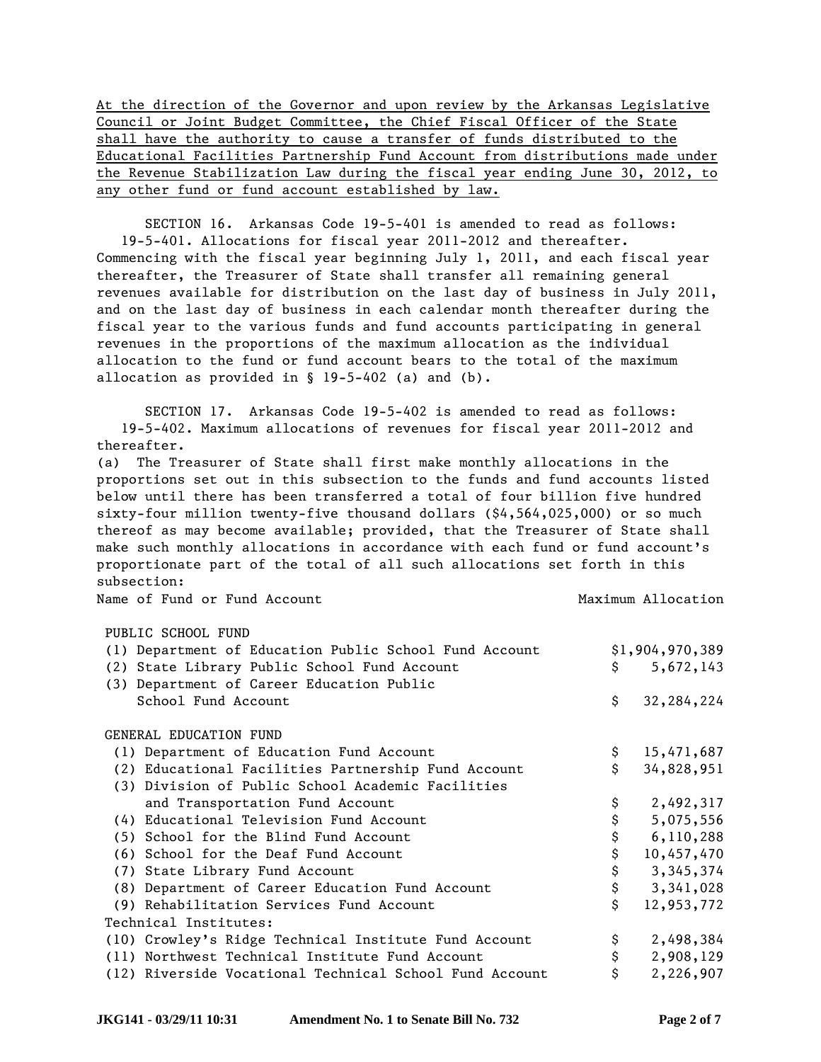At the direction of the Governor and upon review by the Arkansas Legislative Council or Joint Budget Committee, the Chief Fiscal Officer of the State shall have the authority to cause a transfer of funds distributed to the Educational Facilities Partnership Fund Account from distributions made under the Revenue Stabilization Law during the fiscal year ending June 30, 2012, to any other fund or fund account established by law.

SECTION 16. Arkansas Code 19-5-401 is amended to read as follows: 19-5-401. Allocations for fiscal year 2011-2012 and thereafter. Commencing with the fiscal year beginning July 1, 2011, and each fiscal year thereafter, the Treasurer of State shall transfer all remaining general revenues available for distribution on the last day of business in July 2011, and on the last day of business in each calendar month thereafter during the fiscal year to the various funds and fund accounts participating in general revenues in the proportions of the maximum allocation as the individual allocation to the fund or fund account bears to the total of the maximum allocation as provided in § 19-5-402 (a) and (b).

SECTION 17. Arkansas Code 19-5-402 is amended to read as follows: 19-5-402. Maximum allocations of revenues for fiscal year 2011-2012 and thereafter.

(a) The Treasurer of State shall first make monthly allocations in the proportions set out in this subsection to the funds and fund accounts listed below until there has been transferred a total of four billion five hundred sixty-four million twenty-five thousand dollars (\$4,564,025,000) or so much thereof as may become available; provided, that the Treasurer of State shall make such monthly allocations in accordance with each fund or fund account's proportionate part of the total of all such allocations set forth in this subsection:

Name of Fund or Fund Account 1996 1997 1998 Maximum Allocation

## PUBLIC SCHOOL FUND

| (1) Department of Education Public School Fund Account  | \$1,904,970,389 |            |
|---------------------------------------------------------|-----------------|------------|
| (2) State Library Public School Fund Account            | Ŝ.              | 5,672,143  |
| (3) Department of Career Education Public               |                 |            |
| School Fund Account                                     | \$              | 32,284,224 |
|                                                         |                 |            |
| GENERAL EDUCATION FUND                                  |                 |            |
| (1) Department of Education Fund Account                | \$              | 15,471,687 |
| (2) Educational Facilities Partnership Fund Account     | \$              | 34,828,951 |
| (3) Division of Public School Academic Facilities       |                 |            |
| and Transportation Fund Account                         |                 | 2,492,317  |
| (4) Educational Television Fund Account                 |                 | 5,075,556  |
| (5) School for the Blind Fund Account                   | \$              | 6,110,288  |
| (6) School for the Deaf Fund Account                    | \$              | 10,457,470 |
| (7) State Library Fund Account                          | \$              | 3,345,374  |
| (8) Department of Career Education Fund Account         | \$              | 3,341,028  |
| (9) Rehabilitation Services Fund Account                | \$              | 12,953,772 |
| Technical Institutes:                                   |                 |            |
| (10) Crowley's Ridge Technical Institute Fund Account   | \$              | 2,498,384  |
| (11) Northwest Technical Institute Fund Account         |                 | 2,908,129  |
| (12) Riverside Vocational Technical School Fund Account |                 | 2,226,907  |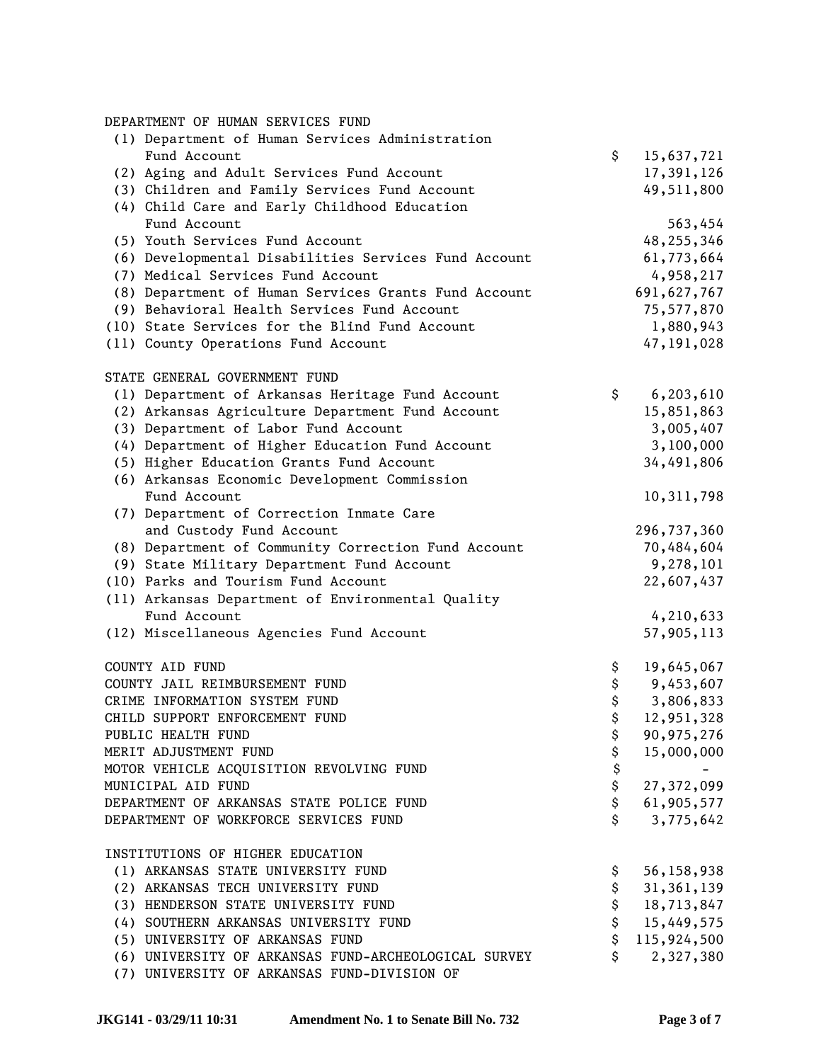DEPARTMENT OF HUMAN SERVICES FUND

| (1) Department of Human Services Administration      |                    |
|------------------------------------------------------|--------------------|
| Fund Account                                         | \$<br>15,637,721   |
| (2) Aging and Adult Services Fund Account            | 17,391,126         |
| (3) Children and Family Services Fund Account        | 49,511,800         |
| (4) Child Care and Early Childhood Education         |                    |
| Fund Account                                         | 563,454            |
| (5) Youth Services Fund Account                      | 48,255,346         |
| (6) Developmental Disabilities Services Fund Account | 61,773,664         |
| (7) Medical Services Fund Account                    | 4,958,217          |
| (8) Department of Human Services Grants Fund Account | 691,627,767        |
| (9) Behavioral Health Services Fund Account          | 75,577,870         |
| (10) State Services for the Blind Fund Account       | 1,880,943          |
| (11) County Operations Fund Account                  | 47,191,028         |
| STATE GENERAL GOVERNMENT FUND                        |                    |
| (1) Department of Arkansas Heritage Fund Account     | \$<br>6,203,610    |
| (2) Arkansas Agriculture Department Fund Account     | 15,851,863         |
| (3) Department of Labor Fund Account                 | 3,005,407          |
| (4) Department of Higher Education Fund Account      | 3,100,000          |
| (5) Higher Education Grants Fund Account             | 34,491,806         |
| (6) Arkansas Economic Development Commission         |                    |
| Fund Account                                         | 10,311,798         |
| (7) Department of Correction Inmate Care             |                    |
| and Custody Fund Account                             | 296,737,360        |
| (8) Department of Community Correction Fund Account  | 70,484,604         |
| (9) State Military Department Fund Account           | 9,278,101          |
| (10) Parks and Tourism Fund Account                  | 22,607,437         |
| (11) Arkansas Department of Environmental Quality    |                    |
| Fund Account                                         | 4,210,633          |
| (12) Miscellaneous Agencies Fund Account             | 57,905,113         |
| COUNTY AID FUND                                      | \$<br>19,645,067   |
| COUNTY JAIL REIMBURSEMENT FUND                       | \$<br>9,453,607    |
| CRIME INFORMATION SYSTEM FUND                        | \$<br>3,806,833    |
| CHILD SUPPORT ENFORCEMENT FUND                       | \$<br>12,951,328   |
| PUBLIC HEALTH FUND                                   | \$<br>90,975,276   |
| MERIT ADJUSTMENT FUND                                | \$<br>15,000,000   |
| MOTOR VEHICLE ACQUISITION REVOLVING FUND             | \$                 |
| MUNICIPAL AID FUND                                   | \$<br>27,372,099   |
| DEPARTMENT OF ARKANSAS STATE POLICE FUND             | \$<br>61,905,577   |
| DEPARTMENT OF WORKFORCE SERVICES FUND                | \$<br>3,775,642    |
| INSTITUTIONS OF HIGHER EDUCATION                     |                    |
| (1) ARKANSAS STATE UNIVERSITY FUND                   | \$<br>56,158,938   |
| (2) ARKANSAS TECH UNIVERSITY FUND                    | \$<br>31, 361, 139 |
| (3) HENDERSON STATE UNIVERSITY FUND                  | \$<br>18,713,847   |
| (4) SOUTHERN ARKANSAS UNIVERSITY FUND                | \$<br>15,449,575   |
| (5) UNIVERSITY OF ARKANSAS FUND                      | \$<br>115,924,500  |
| (6) UNIVERSITY OF ARKANSAS FUND-ARCHEOLOGICAL SURVEY | \$<br>2,327,380    |
| (7) UNIVERSITY OF ARKANSAS FUND-DIVISION OF          |                    |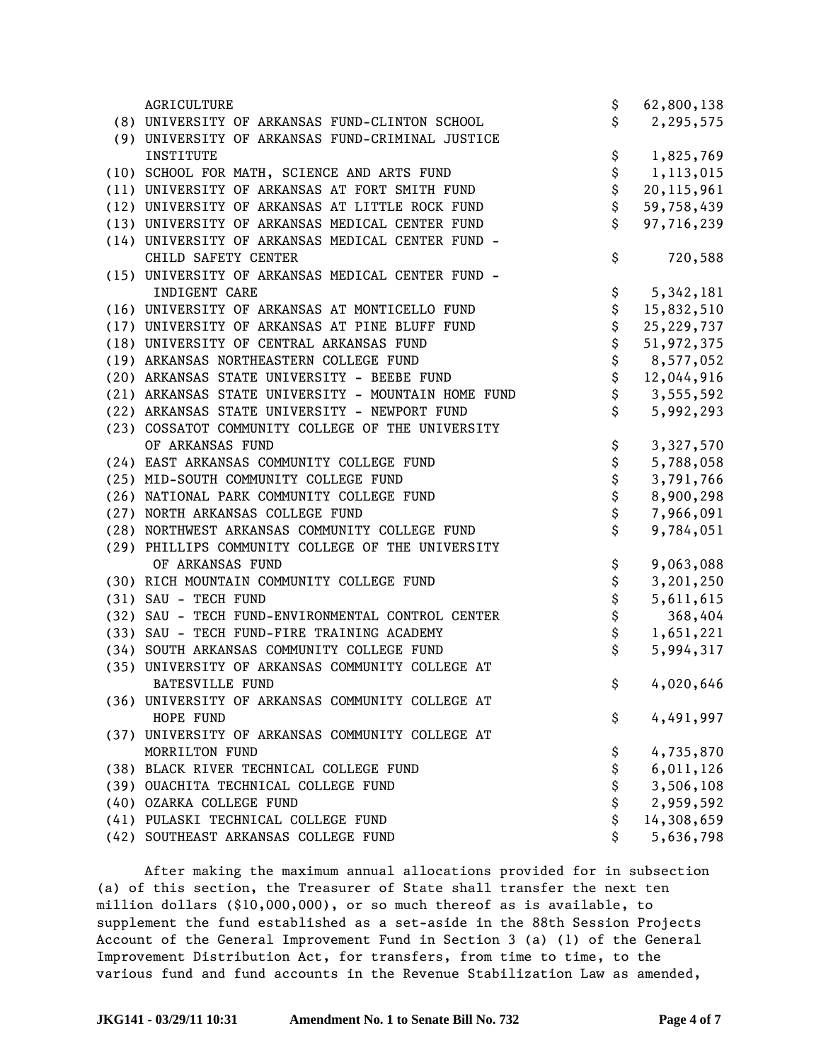| AGRICULTURE                                         | \$       | 62,800,138   |
|-----------------------------------------------------|----------|--------------|
| (8) UNIVERSITY OF ARKANSAS FUND-CLINTON SCHOOL      | \$       | 2,295,575    |
| (9) UNIVERSITY OF ARKANSAS FUND-CRIMINAL JUSTICE    |          |              |
| INSTITUTE                                           | \$       | 1,825,769    |
| (10) SCHOOL FOR MATH, SCIENCE AND ARTS FUND         | \$       | 1,113,015    |
| (11) UNIVERSITY OF ARKANSAS AT FORT SMITH FUND      | \$       | 20, 115, 961 |
| (12) UNIVERSITY OF ARKANSAS AT LITTLE ROCK FUND     | \$       | 59,758,439   |
| (13) UNIVERSITY OF ARKANSAS MEDICAL CENTER FUND     | \$       | 97,716,239   |
| (14) UNIVERSITY OF ARKANSAS MEDICAL CENTER FUND -   |          |              |
| CHILD SAFETY CENTER                                 | \$       | 720,588      |
| (15) UNIVERSITY OF ARKANSAS MEDICAL CENTER FUND -   |          |              |
| INDIGENT CARE                                       | \$       | 5,342,181    |
| (16) UNIVERSITY OF ARKANSAS AT MONTICELLO FUND      | \$       | 15,832,510   |
| (17) UNIVERSITY OF ARKANSAS AT PINE BLUFF FUND      | \$       | 25,229,737   |
| (18) UNIVERSITY OF CENTRAL ARKANSAS FUND            | \$       | 51,972,375   |
| (19) ARKANSAS NORTHEASTERN COLLEGE FUND             | \$       | 8,577,052    |
| (20) ARKANSAS STATE UNIVERSITY - BEEBE FUND         | \$       | 12,044,916   |
| (21) ARKANSAS STATE UNIVERSITY - MOUNTAIN HOME FUND | \$       | 3,555,592    |
| (22) ARKANSAS STATE UNIVERSITY - NEWPORT FUND       | \$       | 5,992,293    |
| (23) COSSATOT COMMUNITY COLLEGE OF THE UNIVERSITY   |          |              |
| OF ARKANSAS FUND                                    | \$       | 3,327,570    |
| (24) EAST ARKANSAS COMMUNITY COLLEGE FUND           | \$       | 5,788,058    |
| (25) MID-SOUTH COMMUNITY COLLEGE FUND               | \$       | 3,791,766    |
| (26) NATIONAL PARK COMMUNITY COLLEGE FUND           | \$       | 8,900,298    |
| (27) NORTH ARKANSAS COLLEGE FUND                    | \$       | 7,966,091    |
| (28) NORTHWEST ARKANSAS COMMUNITY COLLEGE FUND      | \$       | 9,784,051    |
| (29) PHILLIPS COMMUNITY COLLEGE OF THE UNIVERSITY   |          |              |
| OF ARKANSAS FUND                                    | \$       | 9,063,088    |
| (30) RICH MOUNTAIN COMMUNITY COLLEGE FUND           | \$       | 3,201,250    |
| (31) SAU - TECH FUND                                |          | 5,611,615    |
| (32) SAU - TECH FUND-ENVIRONMENTAL CONTROL CENTER   | \$<br>\$ | 368,404      |
| (33) SAU - TECH FUND-FIRE TRAINING ACADEMY          | \$       | 1,651,221    |
| (34) SOUTH ARKANSAS COMMUNITY COLLEGE FUND          | \$       | 5,994,317    |
| (35) UNIVERSITY OF ARKANSAS COMMUNITY COLLEGE AT    |          |              |
| <b>BATESVILLE FUND</b>                              | \$       | 4,020,646    |
| (36) UNIVERSITY OF ARKANSAS COMMUNITY COLLEGE AT    |          |              |
| HOPE FUND                                           | \$       | 4,491,997    |
| (37) UNIVERSITY OF ARKANSAS COMMUNITY COLLEGE AT    |          |              |
| MORRILTON FUND                                      | \$       | 4,735,870    |
| (38) BLACK RIVER TECHNICAL COLLEGE FUND             | \$       | 6,011,126    |
| (39) OUACHITA TECHNICAL COLLEGE FUND                | \$       | 3,506,108    |
| (40) OZARKA COLLEGE FUND                            | \$       | 2,959,592    |
| (41) PULASKI TECHNICAL COLLEGE FUND                 | \$       | 14,308,659   |
| (42) SOUTHEAST ARKANSAS COLLEGE FUND                | \$       | 5,636,798    |

After making the maximum annual allocations provided for in subsection (a) of this section, the Treasurer of State shall transfer the next ten million dollars (\$10,000,000), or so much thereof as is available, to supplement the fund established as a set-aside in the 88th Session Projects Account of the General Improvement Fund in Section 3 (a) (1) of the General Improvement Distribution Act, for transfers, from time to time, to the various fund and fund accounts in the Revenue Stabilization Law as amended,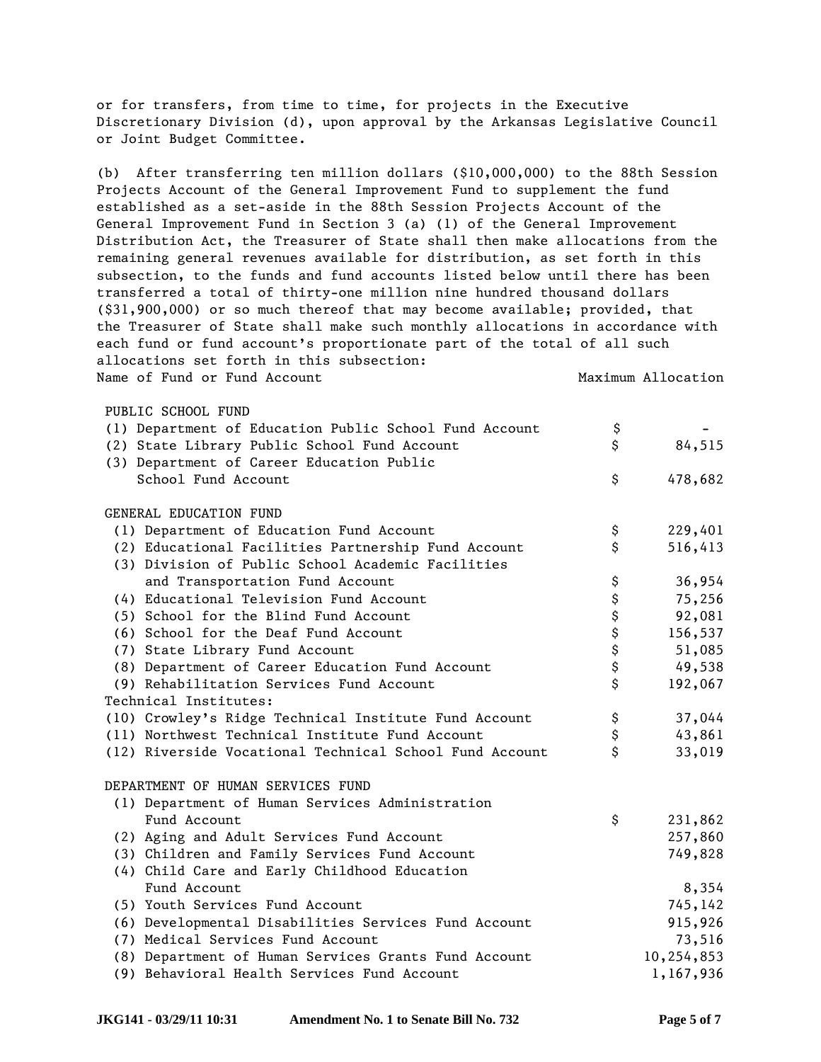or for transfers, from time to time, for projects in the Executive Discretionary Division (d), upon approval by the Arkansas Legislative Council or Joint Budget Committee.

(b) After transferring ten million dollars (\$10,000,000) to the 88th Session Projects Account of the General Improvement Fund to supplement the fund established as a set-aside in the 88th Session Projects Account of the General Improvement Fund in Section 3 (a) (1) of the General Improvement Distribution Act, the Treasurer of State shall then make allocations from the remaining general revenues available for distribution, as set forth in this subsection, to the funds and fund accounts listed below until there has been transferred a total of thirty-one million nine hundred thousand dollars (\$31,900,000) or so much thereof that may become available; provided, that the Treasurer of State shall make such monthly allocations in accordance with each fund or fund account's proportionate part of the total of all such allocations set forth in this subsection: Name of Fund or Fund Account 1999 120 Maximum Allocation

#### PUBLIC SCHOOL FUND

| (1) Department of Education Public School Fund Account  | \$          |            |
|---------------------------------------------------------|-------------|------------|
| (2) State Library Public School Fund Account            | \$          | 84,515     |
| (3) Department of Career Education Public               |             |            |
| School Fund Account                                     | \$          | 478,682    |
|                                                         |             |            |
| GENERAL EDUCATION FUND                                  |             |            |
| (1) Department of Education Fund Account                | \$          | 229,401    |
| (2) Educational Facilities Partnership Fund Account     | \$          | 516,413    |
| (3) Division of Public School Academic Facilities       |             |            |
| and Transportation Fund Account                         | \$          | 36,954     |
| (4) Educational Television Fund Account                 | \$          | 75,256     |
| (5) School for the Blind Fund Account                   | \$          | 92,081     |
| (6) School for the Deaf Fund Account                    | \$          | 156,537    |
| (7) State Library Fund Account                          | \$          | 51,085     |
| (8) Department of Career Education Fund Account         | \$          | 49,538     |
| (9) Rehabilitation Services Fund Account                | $\mathsf S$ | 192,067    |
| Technical Institutes:                                   |             |            |
| (10) Crowley's Ridge Technical Institute Fund Account   | \$          | 37,044     |
| (11) Northwest Technical Institute Fund Account         | \$          | 43,861     |
| (12) Riverside Vocational Technical School Fund Account | $\mathsf S$ | 33,019     |
|                                                         |             |            |
| DEPARTMENT OF HUMAN SERVICES FUND                       |             |            |
| (1) Department of Human Services Administration         |             |            |
| Fund Account                                            | \$          | 231,862    |
| (2) Aging and Adult Services Fund Account               |             | 257,860    |
| (3) Children and Family Services Fund Account           |             | 749,828    |
| (4) Child Care and Early Childhood Education            |             |            |
| Fund Account                                            |             | 8,354      |
| (5) Youth Services Fund Account                         |             | 745,142    |
| (6) Developmental Disabilities Services Fund Account    |             | 915,926    |
| (7) Medical Services Fund Account                       |             | 73,516     |
| (8) Department of Human Services Grants Fund Account    |             | 10,254,853 |
| (9) Behavioral Health Services Fund Account             |             | 1,167,936  |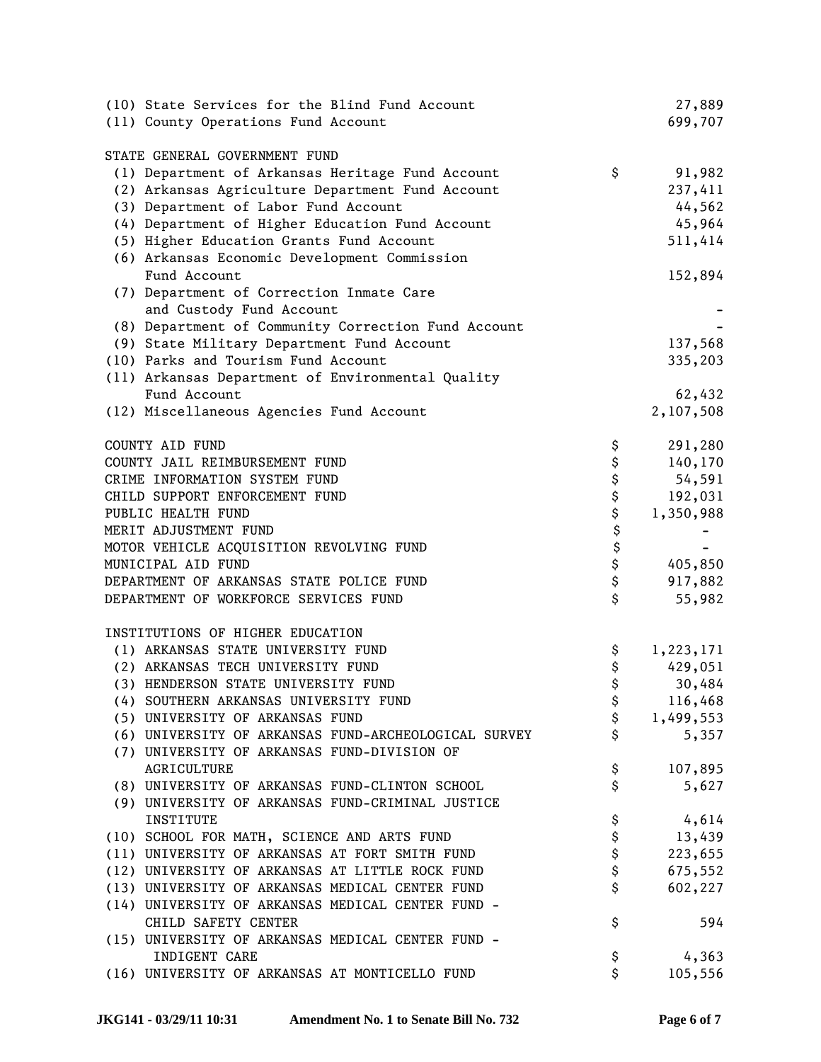| (10) State Services for the Blind Fund Account       |          | 27,889           |
|------------------------------------------------------|----------|------------------|
| (11) County Operations Fund Account                  |          | 699,707          |
|                                                      |          |                  |
| STATE GENERAL GOVERNMENT FUND                        |          |                  |
| (1) Department of Arkansas Heritage Fund Account     | \$       | 91,982           |
| (2) Arkansas Agriculture Department Fund Account     |          | 237,411          |
| (3) Department of Labor Fund Account                 |          | 44,562           |
| (4) Department of Higher Education Fund Account      |          | 45,964           |
| (5) Higher Education Grants Fund Account             |          | 511,414          |
| (6) Arkansas Economic Development Commission         |          |                  |
| Fund Account                                         |          | 152,894          |
| (7) Department of Correction Inmate Care             |          |                  |
| and Custody Fund Account                             |          |                  |
| (8) Department of Community Correction Fund Account  |          |                  |
| (9) State Military Department Fund Account           |          | 137,568          |
| (10) Parks and Tourism Fund Account                  |          | 335,203          |
| (11) Arkansas Department of Environmental Quality    |          |                  |
| Fund Account                                         |          | 62,432           |
| (12) Miscellaneous Agencies Fund Account             |          | 2,107,508        |
|                                                      |          |                  |
| COUNTY AID FUND                                      | \$       | 291,280          |
| COUNTY JAIL REIMBURSEMENT FUND                       | \$       | 140,170          |
| CRIME INFORMATION SYSTEM FUND                        | \$       | 54,591           |
| CHILD SUPPORT ENFORCEMENT FUND                       | \$       | 192,031          |
| PUBLIC HEALTH FUND                                   | \$       | 1,350,988        |
| MERIT ADJUSTMENT FUND                                | \$       |                  |
| MOTOR VEHICLE ACQUISITION REVOLVING FUND             | \$       |                  |
| MUNICIPAL AID FUND                                   | \$       | 405,850          |
| DEPARTMENT OF ARKANSAS STATE POLICE FUND             | \$       | 917,882          |
| DEPARTMENT OF WORKFORCE SERVICES FUND                | \$       | 55,982           |
|                                                      |          |                  |
| INSTITUTIONS OF HIGHER EDUCATION                     |          |                  |
| (1) ARKANSAS STATE UNIVERSITY FUND                   | \$       | 1,223,171        |
| (2) ARKANSAS TECH UNIVERSITY FUND                    | \$       | 429,051          |
| (3) HENDERSON STATE UNIVERSITY FUND                  | \$       | 30,484           |
| (4) SOUTHERN ARKANSAS UNIVERSITY FUND                | Α<br>P   | 116,468          |
| (5) UNIVERSITY OF ARKANSAS FUND                      | \$       | 1,499,553        |
| (6) UNIVERSITY OF ARKANSAS FUND-ARCHEOLOGICAL SURVEY | \$       | 5,357            |
| (7) UNIVERSITY OF ARKANSAS FUND-DIVISION OF          |          |                  |
| AGRICULTURE                                          | \$       | 107,895          |
| (8) UNIVERSITY OF ARKANSAS FUND-CLINTON SCHOOL       | \$       | 5,627            |
| (9) UNIVERSITY OF ARKANSAS FUND-CRIMINAL JUSTICE     |          |                  |
| INSTITUTE                                            | \$       | 4,614            |
| (10) SCHOOL FOR MATH, SCIENCE AND ARTS FUND          | \$       | 13,439           |
| (11) UNIVERSITY OF ARKANSAS AT FORT SMITH FUND       | \$       | 223,655          |
| (12) UNIVERSITY OF ARKANSAS AT LITTLE ROCK FUND      | \$       | 675,552          |
| (13) UNIVERSITY OF ARKANSAS MEDICAL CENTER FUND      | \$       | 602,227          |
| (14) UNIVERSITY OF ARKANSAS MEDICAL CENTER FUND -    |          |                  |
| CHILD SAFETY CENTER                                  | \$       | 594              |
| (15) UNIVERSITY OF ARKANSAS MEDICAL CENTER FUND -    |          |                  |
| INDIGENT CARE                                        |          |                  |
| (16) UNIVERSITY OF ARKANSAS AT MONTICELLO FUND       | \$<br>\$ | 4,363<br>105,556 |